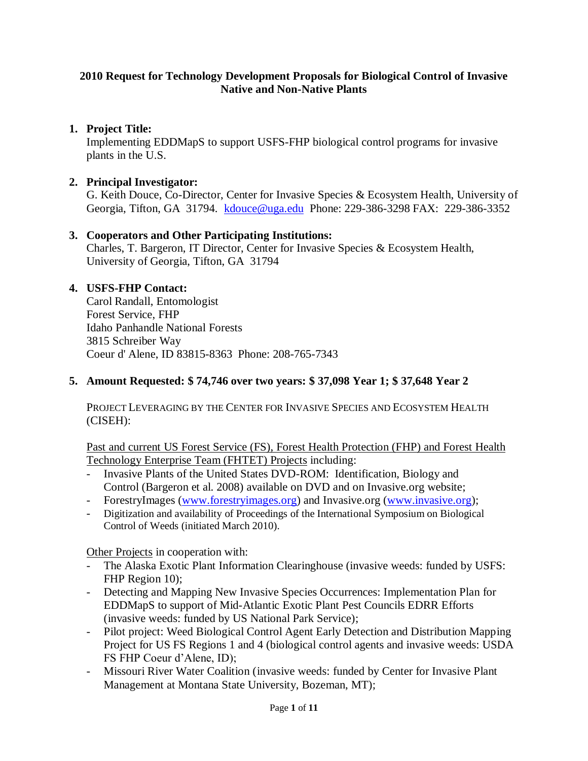#### **2010 Request for Technology Development Proposals for Biological Control of Invasive Native and Non-Native Plants**

## **1. Project Title:**

Implementing EDDMapS to support USFS-FHP biological control programs for invasive plants in the U.S.

#### **2. Principal Investigator:**

G. Keith Douce, Co-Director, Center for Invasive Species & Ecosystem Health, University of Georgia, Tifton, GA 31794. [kdouce@uga.edu](mailto:kdouce@uga.edu) Phone: 229-386-3298 FAX: 229-386-3352

## **3. Cooperators and Other Participating Institutions:**

Charles, T. Bargeron, IT Director, Center for Invasive Species & Ecosystem Health, University of Georgia, Tifton, GA 31794

## **4. USFS-FHP Contact:**

Carol Randall, Entomologist Forest Service, FHP Idaho Panhandle National Forests 3815 Schreiber Way Coeur d' Alene, ID 83815-8363 Phone: 208-765-7343

#### **5. Amount Requested: \$ 74,746 over two years: \$ 37,098 Year 1; \$ 37,648 Year 2**

PROJECT LEVERAGING BY THE CENTER FOR INVASIVE SPECIES AND ECOSYSTEM HEALTH (CISEH):

Past and current US Forest Service (FS), Forest Health Protection (FHP) and Forest Health Technology Enterprise Team (FHTET) Projects including:

- Invasive Plants of the United States DVD-ROM: Identification, Biology and Control (Bargeron et al. 2008) available on DVD and on Invasive.org website;
- ForestryImages [\(www.forestryimages.org\)](http://www.forestryimages.org/) and Invasive.org [\(www.invasive.org\)](http://www.invasive.org/);
- Digitization and availability of Proceedings of the International Symposium on Biological Control of Weeds (initiated March 2010).

Other Projects in cooperation with:

- The Alaska Exotic Plant Information Clearinghouse (invasive weeds: funded by USFS: FHP Region 10);
- Detecting and Mapping New Invasive Species Occurrences: Implementation Plan for EDDMapS to support of Mid-Atlantic Exotic Plant Pest Councils EDRR Efforts (invasive weeds: funded by US National Park Service);
- Pilot project: Weed Biological Control Agent Early Detection and Distribution Mapping Project for US FS Regions 1 and 4 (biological control agents and invasive weeds: USDA FS FHP Coeur d'Alene, ID);
- Missouri River Water Coalition (invasive weeds: funded by Center for Invasive Plant Management at Montana State University, Bozeman, MT);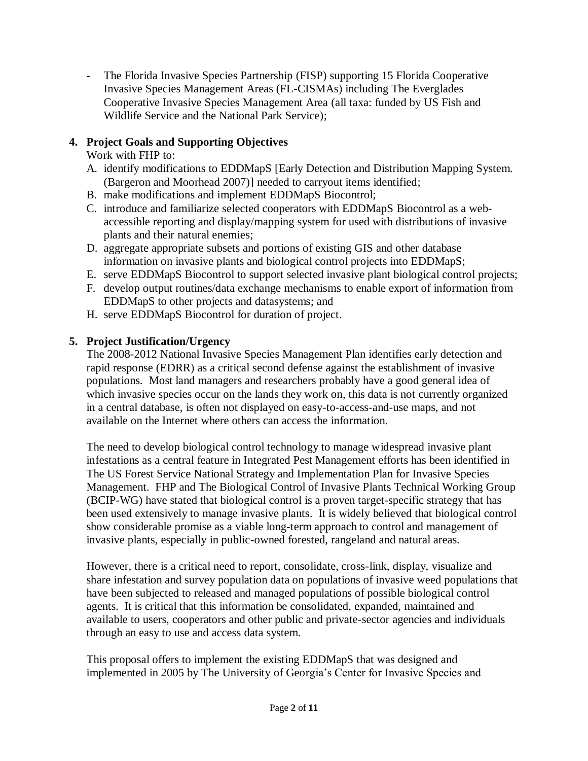The Florida Invasive Species Partnership (FISP) supporting 15 Florida Cooperative Invasive Species Management Areas (FL-CISMAs) including The Everglades Cooperative Invasive Species Management Area (all taxa: funded by US Fish and Wildlife Service and the National Park Service);

## **4. Project Goals and Supporting Objectives**

Work with FHP to:

- A. identify modifications to EDDMapS [Early Detection and Distribution Mapping System. (Bargeron and Moorhead 2007)] needed to carryout items identified;
- B. make modifications and implement EDDMapS Biocontrol;
- C. introduce and familiarize selected cooperators with EDDMapS Biocontrol as a webaccessible reporting and display/mapping system for used with distributions of invasive plants and their natural enemies;
- D. aggregate appropriate subsets and portions of existing GIS and other database information on invasive plants and biological control projects into EDDMapS;
- E. serve EDDMapS Biocontrol to support selected invasive plant biological control projects;
- F. develop output routines/data exchange mechanisms to enable export of information from EDDMapS to other projects and datasystems; and
- H. serve EDDMapS Biocontrol for duration of project.

## **5. Project Justification/Urgency**

The 2008-2012 National Invasive Species Management Plan identifies early detection and rapid response (EDRR) as a critical second defense against the establishment of invasive populations. Most land managers and researchers probably have a good general idea of which invasive species occur on the lands they work on, this data is not currently organized in a central database, is often not displayed on easy-to-access-and-use maps, and not available on the Internet where others can access the information.

The need to develop biological control technology to manage widespread invasive plant infestations as a central feature in Integrated Pest Management efforts has been identified in The US Forest Service National Strategy and Implementation Plan for Invasive Species Management. FHP and The Biological Control of Invasive Plants Technical Working Group (BCIP-WG) have stated that biological control is a proven target-specific strategy that has been used extensively to manage invasive plants. It is widely believed that biological control show considerable promise as a viable long-term approach to control and management of invasive plants, especially in public-owned forested, rangeland and natural areas.

However, there is a critical need to report, consolidate, cross-link, display, visualize and share infestation and survey population data on populations of invasive weed populations that have been subjected to released and managed populations of possible biological control agents. It is critical that this information be consolidated, expanded, maintained and available to users, cooperators and other public and private-sector agencies and individuals through an easy to use and access data system.

This proposal offers to implement the existing EDDMapS that was designed and implemented in 2005 by The University of Georgia's Center for Invasive Species and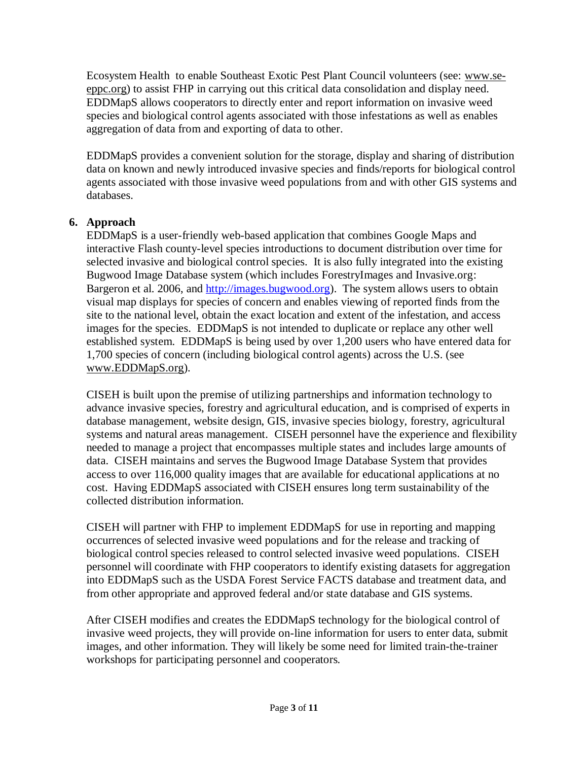Ecosystem Health to enable Southeast Exotic Pest Plant Council volunteers (see: [www.se](http://www.se-eppc.org/)[eppc.org\)](http://www.se-eppc.org/) to assist FHP in carrying out this critical data consolidation and display need. EDDMapS allows cooperators to directly enter and report information on invasive weed species and biological control agents associated with those infestations as well as enables aggregation of data from and exporting of data to other.

EDDMapS provides a convenient solution for the storage, display and sharing of distribution data on known and newly introduced invasive species and finds/reports for biological control agents associated with those invasive weed populations from and with other GIS systems and databases.

## **6. Approach**

EDDMapS is a user-friendly web-based application that combines Google Maps and interactive Flash county-level species introductions to document distribution over time for selected invasive and biological control species. It is also fully integrated into the existing Bugwood Image Database system (which includes ForestryImages and Invasive.org: Bargeron et al. 2006, and [http://images.bugwood.org\)](http://images.bugwood.org/). The system allows users to obtain visual map displays for species of concern and enables viewing of reported finds from the site to the national level, obtain the exact location and extent of the infestation, and access images for the species. EDDMapS is not intended to duplicate or replace any other well established system. EDDMapS is being used by over 1,200 users who have entered data for 1,700 species of concern (including biological control agents) across the U.S. (see [www.EDDMapS.org\)](http://www.eddmaps.org/).

CISEH is built upon the premise of utilizing partnerships and information technology to advance invasive species, forestry and agricultural education, and is comprised of experts in database management, website design, GIS, invasive species biology, forestry, agricultural systems and natural areas management. CISEH personnel have the experience and flexibility needed to manage a project that encompasses multiple states and includes large amounts of data. CISEH maintains and serves the Bugwood Image Database System that provides access to over 116,000 quality images that are available for educational applications at no cost. Having EDDMapS associated with CISEH ensures long term sustainability of the collected distribution information.

CISEH will partner with FHP to implement EDDMapS for use in reporting and mapping occurrences of selected invasive weed populations and for the release and tracking of biological control species released to control selected invasive weed populations. CISEH personnel will coordinate with FHP cooperators to identify existing datasets for aggregation into EDDMapS such as the USDA Forest Service FACTS database and treatment data, and from other appropriate and approved federal and/or state database and GIS systems.

After CISEH modifies and creates the EDDMapS technology for the biological control of invasive weed projects, they will provide on-line information for users to enter data, submit images, and other information. They will likely be some need for limited train-the-trainer workshops for participating personnel and cooperators.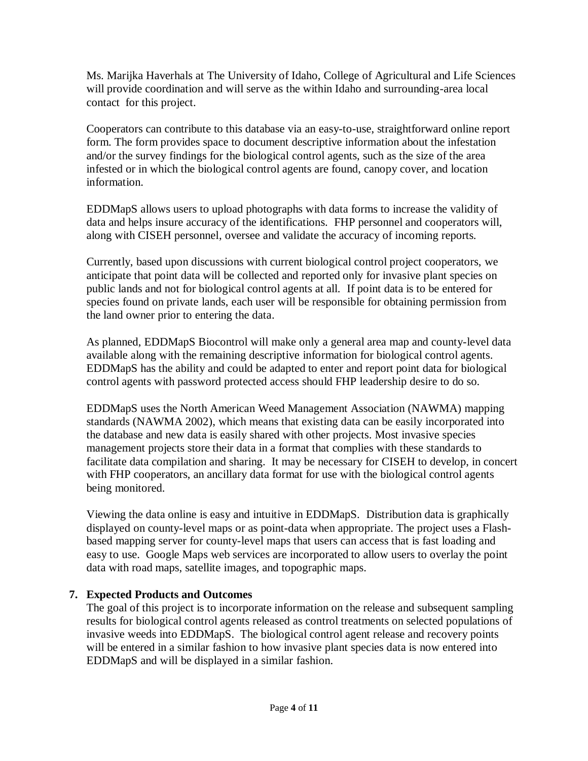Ms. Marijka Haverhals at The University of Idaho, College of Agricultural and Life Sciences will provide coordination and will serve as the within Idaho and surrounding-area local contact for this project.

Cooperators can contribute to this database via an easy-to-use, straightforward online report form. The form provides space to document descriptive information about the infestation and/or the survey findings for the biological control agents, such as the size of the area infested or in which the biological control agents are found, canopy cover, and location information.

EDDMapS allows users to upload photographs with data forms to increase the validity of data and helps insure accuracy of the identifications. FHP personnel and cooperators will, along with CISEH personnel, oversee and validate the accuracy of incoming reports.

Currently, based upon discussions with current biological control project cooperators, we anticipate that point data will be collected and reported only for invasive plant species on public lands and not for biological control agents at all. If point data is to be entered for species found on private lands, each user will be responsible for obtaining permission from the land owner prior to entering the data.

As planned, EDDMapS Biocontrol will make only a general area map and county-level data available along with the remaining descriptive information for biological control agents. EDDMapS has the ability and could be adapted to enter and report point data for biological control agents with password protected access should FHP leadership desire to do so.

EDDMapS uses the North American Weed Management Association (NAWMA) mapping standards (NAWMA 2002), which means that existing data can be easily incorporated into the database and new data is easily shared with other projects. Most invasive species management projects store their data in a format that complies with these standards to facilitate data compilation and sharing. It may be necessary for CISEH to develop, in concert with FHP cooperators, an ancillary data format for use with the biological control agents being monitored.

Viewing the data online is easy and intuitive in EDDMapS. Distribution data is graphically displayed on county-level maps or as point-data when appropriate. The project uses a Flashbased mapping server for county-level maps that users can access that is fast loading and easy to use. Google Maps web services are incorporated to allow users to overlay the point data with road maps, satellite images, and topographic maps.

## **7. Expected Products and Outcomes**

The goal of this project is to incorporate information on the release and subsequent sampling results for biological control agents released as control treatments on selected populations of invasive weeds into EDDMapS. The biological control agent release and recovery points will be entered in a similar fashion to how invasive plant species data is now entered into EDDMapS and will be displayed in a similar fashion.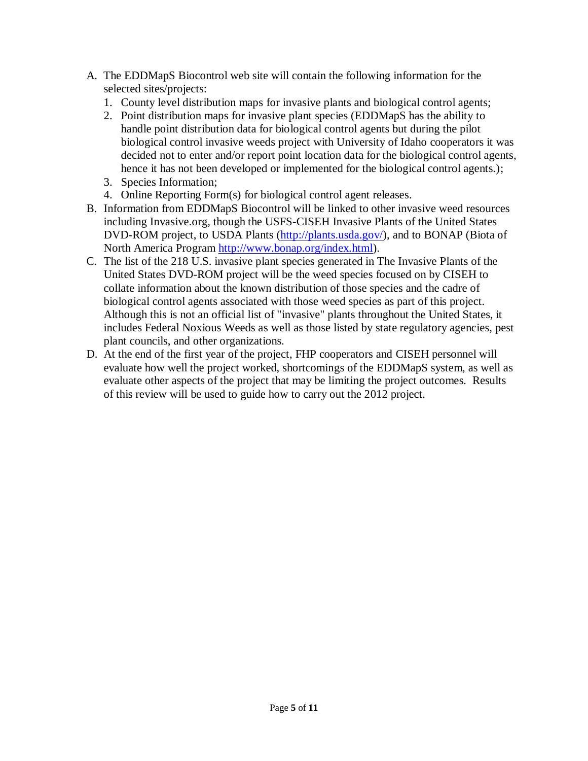- A. The EDDMapS Biocontrol web site will contain the following information for the selected sites/projects:
	- 1. County level distribution maps for invasive plants and biological control agents;
	- 2. Point distribution maps for invasive plant species (EDDMapS has the ability to handle point distribution data for biological control agents but during the pilot biological control invasive weeds project with University of Idaho cooperators it was decided not to enter and/or report point location data for the biological control agents, hence it has not been developed or implemented for the biological control agents.);
	- 3. Species Information;
	- 4. Online Reporting Form(s) for biological control agent releases.
- B. Information from EDDMapS Biocontrol will be linked to other invasive weed resources including Invasive.org, though the USFS-CISEH Invasive Plants of the United States DVD-ROM project, to USDA Plants [\(http://plants.usda.gov/\)](http://plants.usda.gov/), and to BONAP (Biota of North America Program [http://www.bonap.org/index.html\)](http://www.bonap.org/index.html).
- C. The list of the 218 U.S. invasive plant species generated in The Invasive Plants of the United States DVD-ROM project will be the weed species focused on by CISEH to collate information about the known distribution of those species and the cadre of biological control agents associated with those weed species as part of this project. Although this is not an official list of "invasive" plants throughout the United States, it includes Federal Noxious Weeds as well as those listed by state regulatory agencies, pest plant councils, and other organizations.
- D. At the end of the first year of the project, FHP cooperators and CISEH personnel will evaluate how well the project worked, shortcomings of the EDDMapS system, as well as evaluate other aspects of the project that may be limiting the project outcomes. Results of this review will be used to guide how to carry out the 2012 project.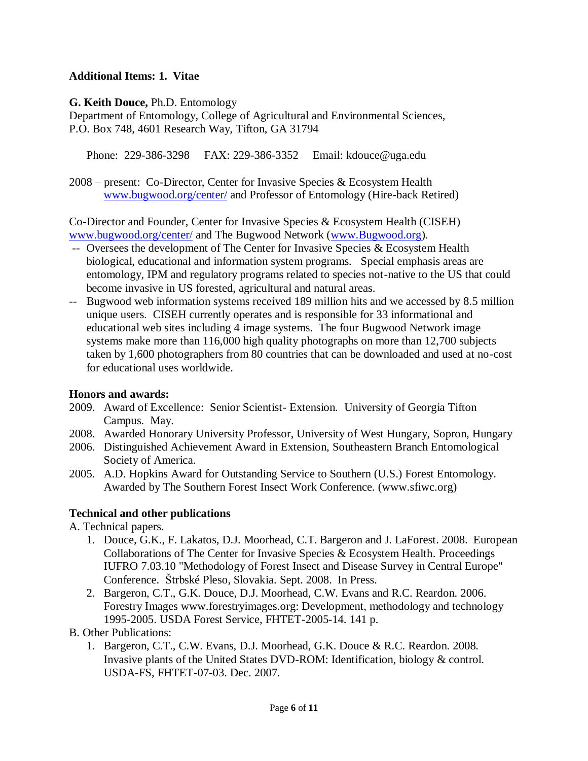#### **Additional Items: 1. Vitae**

**G. Keith Douce,** Ph.D. Entomology

Department of Entomology, College of Agricultural and Environmental Sciences, P.O. Box 748, 4601 Research Way, Tifton, GA 31794

Phone: 229-386-3298 FAX: 229-386-3352 Email: kdouce@uga.edu

2008 – present: Co-Director, Center for Invasive Species & Ecosystem Health [www.bugwood.org/center/](http://www.bugwood.org/center/) and Professor of Entomology (Hire-back Retired)

Co-Director and Founder, Center for Invasive Species & Ecosystem Health (CISEH) [www.bugwood.org/center/](http://www.bugwood.org/center/) and The Bugwood Network [\(www.Bugwood.org\)](http://www.bugwood.org/).

- -- Oversees the development of The Center for Invasive Species & Ecosystem Health biological, educational and information system programs. Special emphasis areas are entomology, IPM and regulatory programs related to species not-native to the US that could become invasive in US forested, agricultural and natural areas.
- -- Bugwood web information systems received 189 million hits and we accessed by 8.5 million unique users. CISEH currently operates and is responsible for 33 informational and educational web sites including 4 image systems. The four Bugwood Network image systems make more than 116,000 high quality photographs on more than 12,700 subjects taken by 1,600 photographers from 80 countries that can be downloaded and used at no-cost for educational uses worldwide.

#### **Honors and awards:**

- 2009. Award of Excellence: Senior Scientist- Extension. University of Georgia Tifton Campus. May.
- 2008. Awarded Honorary University Professor, University of West Hungary, Sopron, Hungary
- 2006. Distinguished Achievement Award in Extension, Southeastern Branch Entomological Society of America.
- 2005. A.D. Hopkins Award for Outstanding Service to Southern (U.S.) Forest Entomology. Awarded by The Southern Forest Insect Work Conference. (www.sfiwc.org)

## **Technical and other publications**

A. Technical papers.

- 1. Douce, G.K., F. Lakatos, D.J. Moorhead, C.T. Bargeron and J. LaForest. 2008. European Collaborations of The Center for Invasive Species & Ecosystem Health. Proceedings IUFRO 7.03.10 "Methodology of Forest Insect and Disease Survey in Central Europe" Conference. Štrbské Pleso, Slovakia. Sept. 2008. In Press.
- 2. Bargeron, C.T., G.K. Douce, D.J. Moorhead, C.W. Evans and R.C. Reardon. 2006. Forestry Images www.forestryimages.org: Development, methodology and technology 1995-2005. USDA Forest Service, FHTET-2005-14. 141 p.
- B. Other Publications:
	- 1. Bargeron, C.T., C.W. Evans, D.J. Moorhead, G.K. Douce & R.C. Reardon. 2008. Invasive plants of the United States DVD-ROM: Identification, biology & control. USDA-FS, FHTET-07-03. Dec. 2007.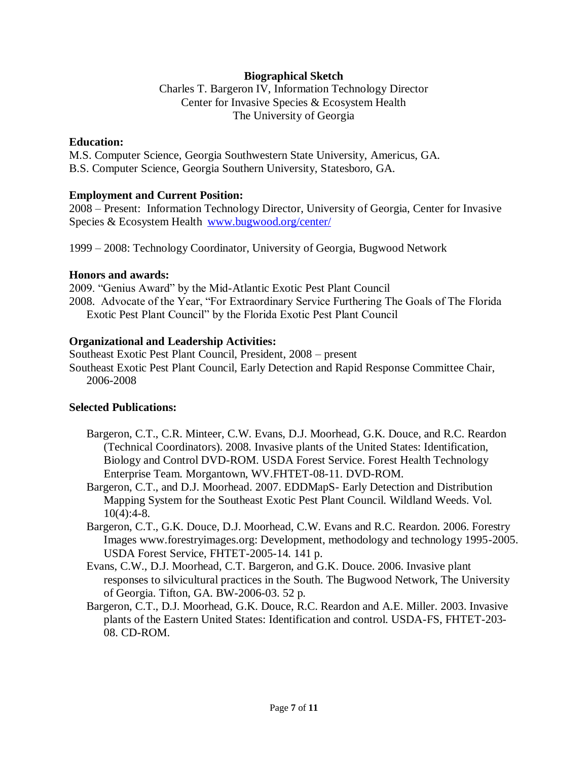#### **Biographical Sketch**

Charles T. Bargeron IV, Information Technology Director Center for Invasive Species & Ecosystem Health The University of Georgia

#### **Education:**

M.S. Computer Science, Georgia Southwestern State University, Americus, GA. B.S. Computer Science, Georgia Southern University, Statesboro, GA.

#### **Employment and Current Position:**

2008 – Present: Information Technology Director, University of Georgia, Center for Invasive Species & Ecosystem Health [www.bugwood.org/center/](http://www.bugwood.org/center/)

1999 – 2008: Technology Coordinator, University of Georgia, Bugwood Network

#### **Honors and awards:**

2009. "Genius Award" by the Mid-Atlantic Exotic Pest Plant Council 2008. Advocate of the Year, "For Extraordinary Service Furthering The Goals of The Florida Exotic Pest Plant Council" by the Florida Exotic Pest Plant Council

#### **Organizational and Leadership Activities:**

Southeast Exotic Pest Plant Council, President, 2008 – present Southeast Exotic Pest Plant Council, Early Detection and Rapid Response Committee Chair, 2006-2008

#### **Selected Publications:**

- Bargeron, C.T., C.R. Minteer, C.W. Evans, D.J. Moorhead, G.K. Douce, and R.C. Reardon (Technical Coordinators). 2008. Invasive plants of the United States: Identification, Biology and Control DVD-ROM. USDA Forest Service. Forest Health Technology Enterprise Team. Morgantown, WV.FHTET-08-11. DVD-ROM.
- Bargeron, C.T., and D.J. Moorhead. 2007. EDDMapS- Early Detection and Distribution Mapping System for the Southeast Exotic Pest Plant Council. Wildland Weeds. Vol. 10(4):4-8.
- Bargeron, C.T., G.K. Douce, D.J. Moorhead, C.W. Evans and R.C. Reardon. 2006. Forestry Images www.forestryimages.org: Development, methodology and technology 1995-2005. USDA Forest Service, FHTET-2005-14. 141 p.
- Evans, C.W., D.J. Moorhead, C.T. Bargeron, and G.K. Douce. 2006. Invasive plant responses to silvicultural practices in the South. The Bugwood Network, The University of Georgia. Tifton, GA. BW-2006-03. 52 p.
- Bargeron, C.T., D.J. Moorhead, G.K. Douce, R.C. Reardon and A.E. Miller. 2003. Invasive plants of the Eastern United States: Identification and control. USDA-FS, FHTET-203- 08. CD-ROM.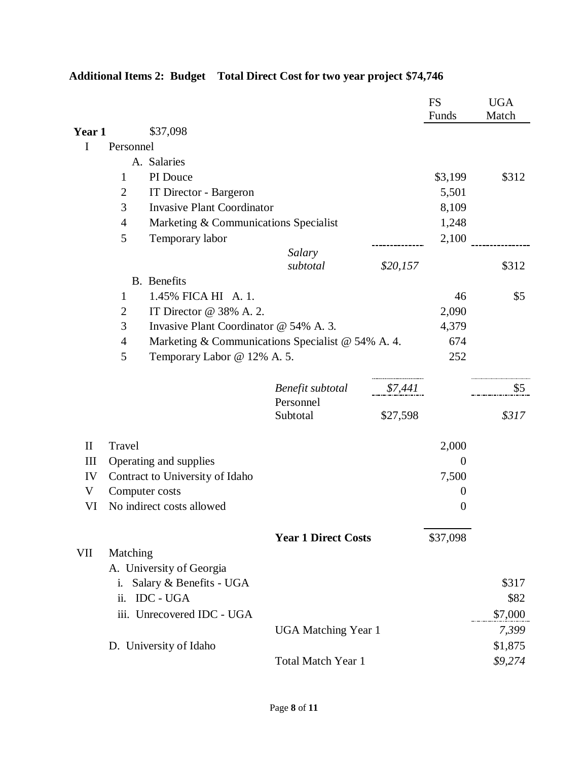|                    |                            |                                                                                  |                            |          | <b>FS</b><br>Funds | <b>UGA</b><br>Match |
|--------------------|----------------------------|----------------------------------------------------------------------------------|----------------------------|----------|--------------------|---------------------|
| Year 1             |                            | \$37,098                                                                         |                            |          |                    |                     |
| I                  | Personnel                  |                                                                                  |                            |          |                    |                     |
|                    |                            | A. Salaries                                                                      |                            |          |                    |                     |
|                    | 1                          | PI Douce                                                                         |                            |          | \$3,199            | \$312               |
|                    | $\overline{2}$             | IT Director - Bargeron                                                           |                            |          | 5,501              |                     |
|                    | 3                          | <b>Invasive Plant Coordinator</b>                                                |                            |          | 8,109              |                     |
|                    | $\overline{4}$             | Marketing & Communications Specialist                                            |                            |          | 1,248              |                     |
|                    | 5                          | Temporary labor                                                                  |                            |          | 2,100              |                     |
|                    |                            |                                                                                  | Salary                     |          |                    |                     |
|                    |                            |                                                                                  | subtotal                   | \$20,157 |                    | \$312               |
|                    |                            | <b>B.</b> Benefits                                                               |                            |          |                    |                     |
|                    | 1                          | 1.45% FICA HI A. 1.                                                              |                            |          | 46                 | \$5                 |
|                    | 2                          | IT Director @ 38% A. 2.                                                          |                            |          | 2,090              |                     |
|                    | 3                          | Invasive Plant Coordinator @ 54% A. 3.                                           |                            |          | 4,379              |                     |
|                    | $\overline{4}$             | Marketing & Communications Specialist @ 54% A. 4.<br>Temporary Labor @ 12% A. 5. |                            |          | 674                |                     |
|                    | 5                          |                                                                                  |                            |          | 252                |                     |
|                    |                            |                                                                                  | Benefit subtotal           | \$7,441  |                    | \$5                 |
|                    |                            |                                                                                  | Personnel<br>Subtotal      | \$27,598 |                    | \$317               |
| $\mathbf{I}$       | Travel                     |                                                                                  |                            |          | 2,000              |                     |
| $\mathop{\rm III}$ |                            | Operating and supplies                                                           |                            |          | $\overline{0}$     |                     |
| IV                 |                            | Contract to University of Idaho                                                  |                            |          | 7,500              |                     |
| V                  |                            | Computer costs                                                                   |                            |          | $\overline{0}$     |                     |
| VI                 |                            | No indirect costs allowed                                                        |                            |          | $\boldsymbol{0}$   |                     |
|                    |                            |                                                                                  | <b>Year 1 Direct Costs</b> |          | \$37,098           |                     |
| VII                | Matching                   |                                                                                  |                            |          |                    |                     |
|                    |                            | A. University of Georgia                                                         |                            |          |                    |                     |
|                    | i.                         | Salary & Benefits - UGA                                                          |                            |          |                    | \$317               |
|                    | ii.                        | <b>IDC - UGA</b>                                                                 |                            |          |                    | \$82                |
|                    |                            | iii. Unrecovered IDC - UGA                                                       |                            |          |                    | \$7,000             |
|                    | <b>UGA Matching Year 1</b> |                                                                                  |                            |          |                    | 7,399               |
|                    |                            | D. University of Idaho                                                           |                            |          |                    | \$1,875             |
|                    |                            |                                                                                  | Total Match Year 1         |          |                    | \$9,274             |

# **Additional Items 2: Budget Total Direct Cost for two year project \$74,746**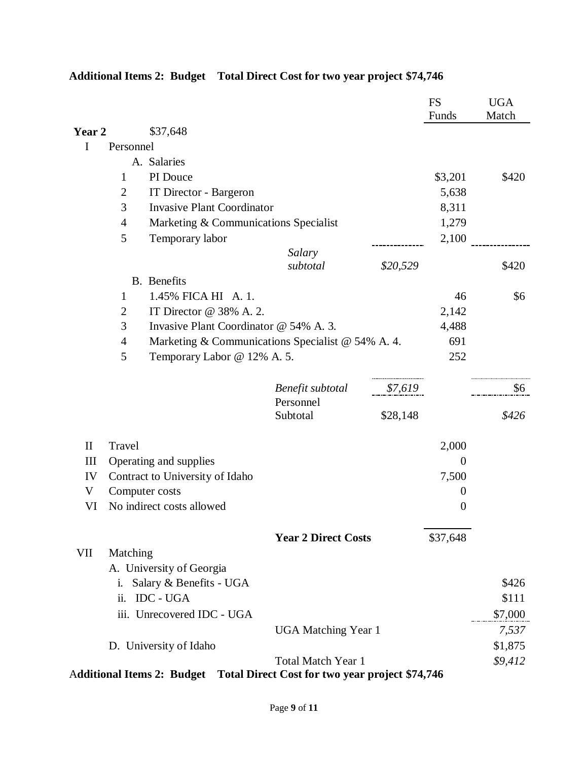|              |                                             |                                                                            |                               |          | <b>FS</b><br>Funds | <b>UGA</b><br>Match |
|--------------|---------------------------------------------|----------------------------------------------------------------------------|-------------------------------|----------|--------------------|---------------------|
| Year 2       |                                             | \$37,648                                                                   |                               |          |                    |                     |
| Ι            | Personnel                                   |                                                                            |                               |          |                    |                     |
|              |                                             | A. Salaries                                                                |                               |          |                    |                     |
|              | 1                                           | PI Douce                                                                   |                               |          | \$3,201            | \$420               |
|              | 2                                           | IT Director - Bargeron                                                     |                               |          | 5,638              |                     |
|              | 3                                           | <b>Invasive Plant Coordinator</b>                                          |                               |          | 8,311              |                     |
|              | $\overline{4}$                              | Marketing & Communications Specialist                                      |                               |          | 1,279              |                     |
|              | 5                                           | Temporary labor                                                            |                               |          | 2,100              |                     |
|              |                                             |                                                                            | Salary                        |          |                    |                     |
|              |                                             |                                                                            | subtotal                      | \$20,529 |                    | \$420               |
|              |                                             | <b>B.</b> Benefits                                                         |                               |          |                    |                     |
|              | 1                                           | 1.45% FICA HI A. 1.                                                        |                               |          | 46                 | \$6                 |
|              | $\overline{2}$                              | IT Director @ 38% A. 2.                                                    |                               |          | 2,142              |                     |
|              | 3<br>Invasive Plant Coordinator @ 54% A. 3. |                                                                            |                               |          | 4,488              |                     |
|              | $\overline{4}$                              | Marketing & Communications Specialist @ 54% A. 4.                          |                               |          | 691                |                     |
|              | 5                                           | Temporary Labor @ 12% A. 5.                                                |                               |          | 252                |                     |
|              |                                             |                                                                            | Benefit subtotal<br>Personnel | \$7,619  |                    | \$6                 |
|              |                                             |                                                                            | Subtotal                      | \$28,148 |                    | \$426               |
| $\mathbf{I}$ | Travel                                      |                                                                            |                               |          | 2,000              |                     |
| Ш            |                                             | Operating and supplies                                                     |                               |          | $\theta$           |                     |
| IV           |                                             | Contract to University of Idaho                                            |                               |          | 7,500              |                     |
| V            |                                             | Computer costs                                                             |                               |          | $\overline{0}$     |                     |
| VI           |                                             | No indirect costs allowed                                                  |                               |          | $\boldsymbol{0}$   |                     |
|              |                                             |                                                                            | <b>Year 2 Direct Costs</b>    |          | \$37,648           |                     |
| VII          | Matching                                    |                                                                            |                               |          |                    |                     |
|              |                                             | A. University of Georgia                                                   |                               |          |                    |                     |
|              | i.                                          | Salary & Benefits - UGA                                                    |                               |          |                    | \$426               |
|              | ii.                                         | <b>IDC - UGA</b>                                                           |                               |          |                    | \$111               |
|              |                                             | iii. Unrecovered IDC - UGA                                                 |                               |          |                    | \$7,000             |
|              |                                             |                                                                            | <b>UGA Matching Year 1</b>    |          |                    | 7,537               |
|              | D. University of Idaho                      |                                                                            |                               |          |                    | \$1,875             |
|              |                                             |                                                                            | <b>Total Match Year 1</b>     |          |                    | \$9,412             |
|              |                                             | Additional Items 2: Budget Total Direct Cost for two year project \$74,746 |                               |          |                    |                     |

## **Additional Items 2: Budget Total Direct Cost for two year project \$74,746**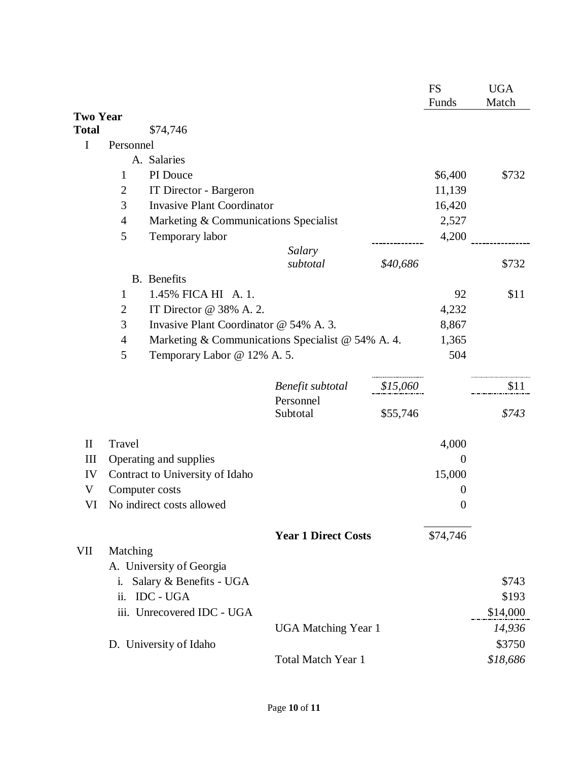|                 |                    |                                                   |                            |          | <b>FS</b><br>Funds | <b>UGA</b><br>Match |
|-----------------|--------------------|---------------------------------------------------|----------------------------|----------|--------------------|---------------------|
| <b>Two Year</b> |                    |                                                   |                            |          |                    |                     |
| Total           |                    | \$74,746                                          |                            |          |                    |                     |
| $\mathbf I$     | Personnel          |                                                   |                            |          |                    |                     |
|                 |                    | A. Salaries                                       |                            |          |                    |                     |
|                 | $\mathbf{1}$       | PI Douce                                          |                            |          | \$6,400            | \$732               |
|                 | $\overline{2}$     | IT Director - Bargeron                            |                            |          | 11,139             |                     |
|                 | 3                  | <b>Invasive Plant Coordinator</b>                 |                            |          | 16,420             |                     |
|                 | $\overline{4}$     | Marketing & Communications Specialist             |                            |          | 2,527              |                     |
|                 | 5                  | Temporary labor                                   |                            |          | 4,200              |                     |
|                 |                    |                                                   | Salary<br>subtotal         | \$40,686 |                    | \$732               |
|                 | <b>B.</b> Benefits |                                                   |                            |          |                    |                     |
|                 | $\mathbf{1}$       | 1.45% FICA HI A. 1.                               |                            |          | 92                 | \$11                |
|                 | $\overline{c}$     | IT Director @ 38% A. 2.                           |                            |          | 4,232              |                     |
|                 | 3                  | Invasive Plant Coordinator @ 54% A. 3.            |                            |          | 8,867              |                     |
|                 | 4                  | Marketing & Communications Specialist @ 54% A. 4. |                            |          | 1,365              |                     |
|                 | 5                  | Temporary Labor @ 12% A. 5.                       |                            |          | 504                |                     |
|                 |                    |                                                   | Benefit subtotal           | \$15,060 |                    | \$11                |
|                 |                    |                                                   | Personnel<br>Subtotal      | \$55,746 |                    | \$743               |
| $\mathbf{I}$    | Travel             |                                                   |                            |          | 4,000              |                     |
| Ш               |                    | Operating and supplies                            |                            |          | $\theta$           |                     |
| IV              |                    | Contract to University of Idaho                   |                            |          | 15,000             |                     |
| V               | Computer costs     |                                                   |                            | $\theta$ |                    |                     |
| VI              |                    | No indirect costs allowed                         |                            |          | $\boldsymbol{0}$   |                     |
|                 |                    |                                                   | <b>Year 1 Direct Costs</b> |          | \$74,746           |                     |
| VII             | Matching           |                                                   |                            |          |                    |                     |
|                 |                    | A. University of Georgia                          |                            |          |                    |                     |
|                 | i.                 | Salary & Benefits - UGA                           |                            |          |                    | \$743               |
|                 | ii.                | <b>IDC - UGA</b>                                  |                            |          |                    | \$193               |
|                 |                    | iii. Unrecovered IDC - UGA                        |                            |          |                    | \$14,000            |
|                 |                    |                                                   | <b>UGA Matching Year 1</b> |          |                    | 14,936              |
|                 |                    | D. University of Idaho                            |                            |          |                    | \$3750              |
|                 |                    |                                                   | <b>Total Match Year 1</b>  |          |                    | \$18,686            |